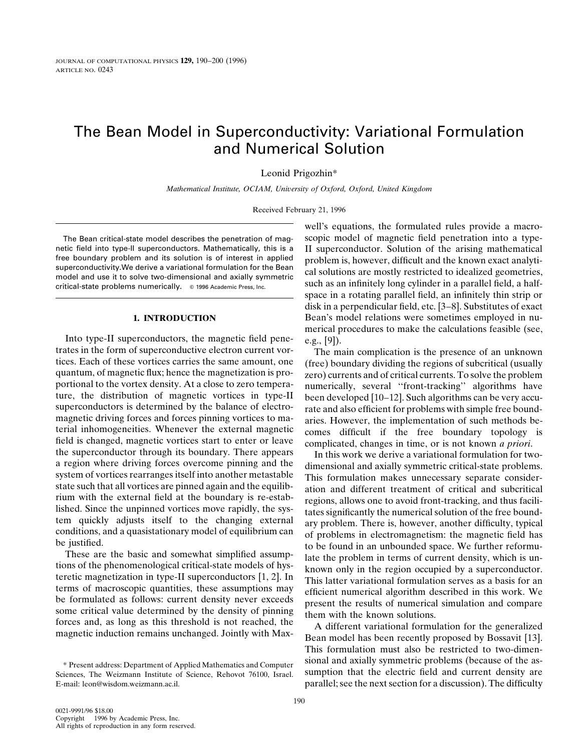# The Bean Model in Superconductivity: Variational Formulation and Numerical Solution

Leonid Prigozhin\*

*Mathematical Institute, OCIAM, University of Oxford, Oxford, United Kingdom*

Received February 21, 1996

netic field into type-II superconductors. Mathematically, this is a II superconductor. Solution of the arising mathematical<br>free boundary problem and its solution is of interest in applied problem is however difficult and ree boundary problem and its solution is of interest in applied<br>superconductivity. We derive a variational formulation for the Bean<br>model and use it to solve two-dimensional and axially symmetric<br>critical-state problems nu

Into type-II superconductors, the magnetic field pene- e.g., [9]).<br>trates in the form of superconductive electron current vor- The m trates in the form of superconductive electron current vor-<br>tices. Each of these vortices carries the same amount, one (free) boundary dividing the regions of subcritical (usually tices. Each of these vortices carries the same amount, one (free) boundary dividing the regions of subcritical (usually quantum, of magnetic flux; hence the magnetization is pro-<br>gero) currents and of critical currents. To quantum, of magnetic flux; hence the magnetization is pro-<br>portional to the vortex density. At a close to zero tempera-<br>pumerically several "front-tracking" algorithms have portional to the vortex density. At a close to zero tempera-<br>ture, the distribution of magnetic vortices in type-II been developed [10–12] Such algorithms can be very accuture, the distribution of magnetic vortices in type-II been developed [10–12]. Such algorithms can be very accu-<br>superconductors is determined by the balance of electro-<br>rate and also efficient for problems with simple fre superconductors is determined by the balance of electro-<br>magnetic driving forces and forces pinning vortices to ma-<br>terial inhomogeneities. Whenever the external magnetic<br>field is changed, magnetic vortices start to enter a region where driving forces overcome pinning and the<br>system of vortices rearranges itself into another metastable<br>state such that all vortices are pinned again and the equilib-<br>rium with the external field at the boundar

terms of macroscopic quantities, these assumptions may<br>be formulated as follows: current density never exceeds<br>some critical value determined by the density of pinning<br>forces and, as long as this threshold is not reached,

well's equations, the formulated rules provide a macro-The Bean critical-state model describes the penetration of mag- scopic model of magnetic field penetration into a typespace in a rotating parallel field, an infinitely thin strip or disk in a perpendicular field, etc. [3–8]. Substitutes of exact **1. INTRODUCTION** Bean's model relations were sometimes employed in numerical procedures to make the calculations feasible (see,

rium with the external field at the boundary is re-estab-<br>
lished. Since the unpinned vortices move rapidly, the sys-<br>
tates significantly the numerical solution of the free bound-<br>
tem quickly adjusts itself to the changi

magnetic induction remains unchanged. Jointly with Max-<br>Bean model has been recently proposed by Bossavit [13]. This formulation must also be restricted to two-dimensional and axially symmetric problems (because of the as- \* Present address: Department of Applied Mathematics and Computer Sciences, The Weizmann Institute of Science, Rehovot 76100, Israel. sumption that the electric field and current density are E-mail: leon@wisdom.weizmann.ac.il. parallel; see the next section for a discussion). The difficulty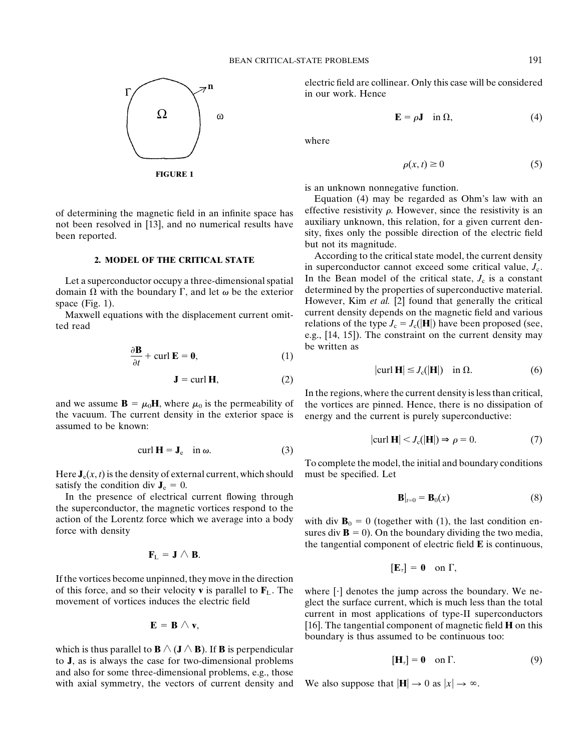

**FIGURE 1**

domain  $\Omega$  with the boundary  $\Gamma$ , and let  $\omega$  be the exterior

Maxwell equations with the displacement current omit-

$$
\frac{\partial \mathbf{B}}{\partial t} + \text{curl } \mathbf{E} = \mathbf{0},\tag{1}
$$

$$
\mathbf{J} = \text{curl } \mathbf{H},\tag{2}
$$

the vacuum. The current density in the exterior space is energy and the current is purely superconductive: assumed to be known:

$$
\operatorname{curl} \mathbf{H} = \mathbf{J}_{\mathrm{e}} \quad \text{in } \omega. \tag{3}
$$

Here  $J_e(x, t)$  is the density of external current, which should must be specified. Let satisfy the condition div  $J_e = 0$ .

In the presence of electrical current flowing through the superconductor, the magnetic vortices respond to the action of the Lorentz force which we average into a body with div  $\mathbf{B}_0 = 0$  (together with (1), the last condition en-<br>force with density  $\mathbf{B} = 0$ ). On the boundary dividing the two media.

$$
\mathbf{F}_L = \mathbf{J} \wedge \mathbf{B}.
$$

If the vortices become unpinned, they move in the direction of this force, and so their velocity **v** is parallel to  $\mathbf{F}_L$ . The where  $[\cdot]$  denotes the jump across the boundary. We ne-<br>movement of vortices induces the electric field glect the surface current, which is much less

$$
\mathbf{E} = \mathbf{B} \wedge \mathbf{v},
$$

which is thus parallel to  $\mathbf{B} \wedge (\mathbf{J} \wedge \mathbf{B})$ . If **B** is perpendicular to **J**, as is always the case for two-dimensional problems and also for some three-dimensional problems, e.g., those with axial symmetry, the vectors of current density and We also suppose that  $|\mathbf{H}| \to 0$  as  $|x| \to \infty$ .

electric field are collinear. Only this case will be considered in our work. Hence

$$
\mathbf{E} = \rho \mathbf{J} \quad \text{in } \Omega,\tag{4}
$$

where

$$
\rho(x,t) \ge 0 \tag{5}
$$

is an unknown nonnegative function.

Equation (4) may be regarded as Ohm's law with an of determining the magnetic field in an infinite space has effective resistivity  $\rho$ . However, since the resistivity is an not been resolved in [13], and no numerical results have auxiliary unknown, this relation, for a

According to the critical state model, the current density **2. MODEL OF THE CRITICAL STATE** in superconductor cannot exceed some critical value,  $J_c$ . Let a superconductor occupy a three-dimensional spatial In the Bean model of the critical state,  $J_c$  is a constant main  $\Omega$  with the boundary  $\Gamma$  and let  $\omega$  be the exterior determined by the properties of superconduc space (Fig. 1).<br>Maxwell equations with the displacement current omit-<br>Maxwell equations with the displacement current omit-<br>current density depends on the magnetic field and various relations of the type  $J_c = J_c(|\mathbf{H}|)$  have been proposed (see, e.g., [14, 15]). The constraint on the current density may be written as

$$
|\text{curl } \mathbf{H}| \le J_c(|\mathbf{H}|) \quad \text{in } \Omega. \tag{6}
$$

In the regions, where the current density is less than critical, and we assume  $\mathbf{B} = \mu_0 \mathbf{H}$ , where  $\mu_0$  is the permeability of the vortices are pinned. Hence, there is no dissipation of

$$
|\text{curl } \mathbf{H}| < J_c(|\mathbf{H}|) \Rightarrow \rho = 0. \tag{7}
$$

To complete the model, the initial and boundary conditions

$$
\mathbf{B}|_{t=0} = \mathbf{B}_0(x) \tag{8}
$$

sures div  $\mathbf{B} = 0$ ). On the boundary dividing the two media, the tangential component of electric field **E** is continuous,

$$
[\mathbf{E}_{\tau}]=\mathbf{0} \quad \text{on } \Gamma,
$$

glect the surface current, which is much less than the total current in most applications of type-II superconductors  $[16]$ . The tangential component of magnetic field **H** on this boundary is thus assumed to be continuous too:

$$
[\mathbf{H}_{\tau}] = \mathbf{0} \quad \text{on } \Gamma. \tag{9}
$$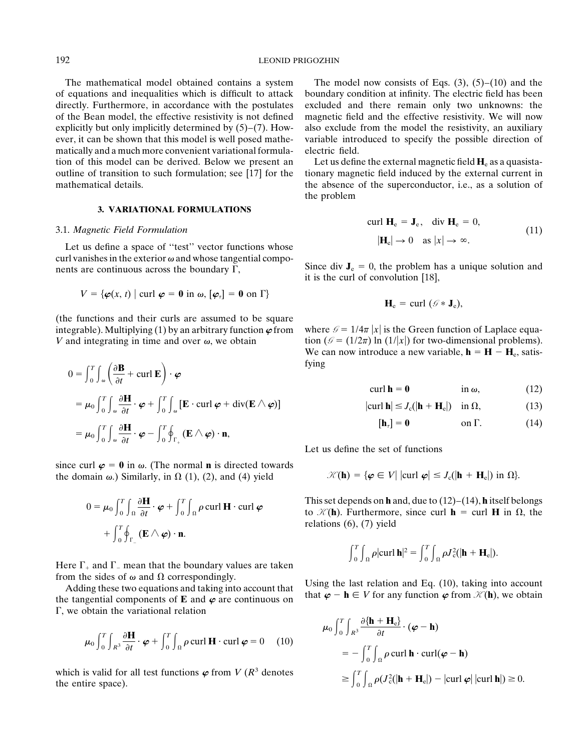of equations and inequalities which is difficult to attack boundary condition at infinity. The electric field has been directly. Furthermore, in accordance with the postulates excluded and there remain only two unknowns: the of the Bean model, the effective resistivity is not defined magnetic field and the effective resistivity. We will now explicitly but only implicitly determined by  $(5)-(7)$ . How- also exclude from the model the resistivity, an auxiliary ever, it can be shown that this model is well posed mathe- variable introduced to specify the possible direction of matically and a much more convenient variational formula- electric field. tion of this model can be derived. Below we present an Let us define the external magnetic field  $H_e$  as a quasista-<br>outline of transition to such formulation; see [17] for the tionary magnetic field induced by the extern mathematical details. the absence of the superconductor, i.e., as a solution of

# **3. VARIATIONAL FORMULATIONS**

Let us define a space of "test" vector functions whose curl vanishes in the exterior  $\omega$  and whose tangential compo-<br>nents are continuous across the boundary  $\Gamma$ ,<br>it is the curl of convolution [18],

$$
V = \{ \boldsymbol{\varphi}(x, t) \mid \text{curl } \boldsymbol{\varphi} = \mathbf{0} \text{ in } \boldsymbol{\omega}, \, [\boldsymbol{\varphi}_\tau] = \mathbf{0} \text{ on } \Gamma \}
$$

(the functions and their curls are assumed to be square integrable). Multiplying (1) by an arbitrary function  $\varphi$  from where  $\mathcal{G} = 1/4\pi |x|$  is the Green function of Laplace equa-*V* and integrating in time and over  $\omega$ , we obtain tion ( $\theta = (1/2\pi) \ln (1/|x|)$  for two-dimensional problems).

$$
0 = \int_0^T \int_{\omega} \left( \frac{\partial \mathbf{B}}{\partial t} + \text{curl } \mathbf{E} \right) \cdot \boldsymbol{\varphi}
$$
\n
$$
= \mu_0 \int_0^T \int_{\omega} \frac{\partial \mathbf{H}}{\partial t} \cdot \boldsymbol{\varphi} + \int_0^T \int_{\omega} \left[ \mathbf{E} \cdot \text{curl } \boldsymbol{\varphi} + \text{div}(\mathbf{E} \wedge \boldsymbol{\varphi}) \right]
$$
\n
$$
= \mu_0 \int_0^T \int_{\omega} \frac{\partial \mathbf{H}}{\partial t} \cdot \boldsymbol{\varphi} - \int_0^T \oint_{\Gamma_+} (\mathbf{E} \wedge \boldsymbol{\varphi}) \cdot \mathbf{n},
$$
\n
$$
(14)
$$
\n
$$
= \mu_0 \int_0^T \int_{\omega} \frac{\partial \mathbf{H}}{\partial t} \cdot \boldsymbol{\varphi} - \int_0^T \oint_{\Gamma_+} (\mathbf{E} \wedge \boldsymbol{\varphi}) \cdot \mathbf{n},
$$
\n
$$
(14)
$$

since curl  $\varphi = 0$  in  $\omega$ . (The normal **n** is directed towards the domain  $\omega$ .) Similarly, in  $\Omega$  (1), (2), and (4) yield  $\mathcal{K}$ 

$$
0 = \mu_0 \int_0^T \int_\Omega \frac{\partial \mathbf{H}}{\partial t} \cdot \boldsymbol{\varphi} + \int_0^T \int_\Omega \rho \operatorname{curl} \mathbf{H} \cdot \operatorname{curl} \boldsymbol{\varphi} + \int_0^T \oint_{\Gamma_-} (\mathbf{E} \wedge \boldsymbol{\varphi}) \cdot \mathbf{n}.
$$

Here  $\Gamma_+$  and  $\Gamma_-$  mean that the boundary values are taken

 $\Gamma$ , we obtain the variational relation

$$
\mu_0 \int_0^T \int_{R^3} \frac{\partial \mathbf{H}}{\partial t} \cdot \boldsymbol{\varphi} + \int_0^T \int_{\Omega} \rho \operatorname{curl} \mathbf{H} \cdot \operatorname{curl} \boldsymbol{\varphi} = 0 \quad (10)
$$

which is valid for all test functions  $\varphi$  from *V* ( $R^3$  denotes the entire space).<br>the entire space).<br> $\geq \int_0^1 \int_{\Omega} \rho (J_c^2(|\mathbf{h} + \mathbf{H}_c|) - |\text{curl } \varphi| |\text{curl } \mathbf{h}|) \geq 0.$ 

The mathematical model obtained contains a system The model now consists of Eqs.  $(3)$ ,  $(5)-(10)$  and the

tionary magnetic field induced by the external current in the problem

3.1. Magnetic Field Formulation 
$$
\text{curl } \mathbf{H}_e = \mathbf{J}_e, \quad \text{div } \mathbf{H}_e = 0,
$$
 (11)

$$
\mathbf{H}_{\mathrm{e}}=\mathrm{curl}(\mathcal{G}\ast\mathbf{J}_{\mathrm{e}}),
$$

We can now introduce a new variable,  $\mathbf{h} = \mathbf{H} - \mathbf{H}_e$ , satisfying

$$
\operatorname{curl} \mathbf{h} = \mathbf{0} \qquad \qquad \text{in } \omega, \tag{12}
$$

$$
|\text{curl } \mathbf{h}| \le J_c(|\mathbf{h} + \mathbf{H}_e|) \quad \text{in } \Omega,
$$
 (13)

$$
[\mathbf{h}_{\tau}] = \mathbf{0} \qquad \text{on } \Gamma. \tag{14}
$$

Let us define the set of functions

$$
\mathcal{K}(\mathbf{h}) = \{ \boldsymbol{\varphi} \in V | \left| \operatorname{curl} \boldsymbol{\varphi} \right| \leq J_{\mathrm{c}}(|\mathbf{h} + \mathbf{H}_{\mathrm{e}}|) \text{ in } \Omega \}.
$$

This set depends on **h** and, due to  $(12)$ – $(14)$ , **h** itself belongs to  $\mathcal{K}(\mathbf{h})$ . Furthermore, since curl **h** = curl **H** in  $\Omega$ , the relations (6), (7) yield

$$
\int_0^T \int_{\Omega} \rho |\text{curl } \mathbf{h}|^2 = \int_0^T \int_{\Omega} \rho J_c^2(|\mathbf{h} + \mathbf{H}_e|).
$$

from the sides of  $\omega$  and  $\Omega$  correspondingly.<br>Adding these two equations and taking into account that<br>the tangential components of **E** and  $\varphi$  are continuous on that  $\varphi - \mathbf{h} \in V$  for any function  $\varphi$  from  $\mathcal{K$ 

$$
\mu_0 \int_0^T \int_{R^3} \frac{\partial {\{\mathbf{h} + \mathbf{H}_e} \}}{\partial t} \cdot (\boldsymbol{\varphi} - \mathbf{h})
$$
  
=  $-\int_0^T \int_{\Omega} \rho \operatorname{curl} \mathbf{h} \cdot \operatorname{curl}(\boldsymbol{\varphi} - \mathbf{h})$   
 $\ge \int_0^T \int_{\Omega} \rho (J_e^2 (|\mathbf{h} + \mathbf{H}_e|) - |\operatorname{curl} \boldsymbol{\varphi}| |\operatorname{curl} \mathbf{h}|) \ge 0.$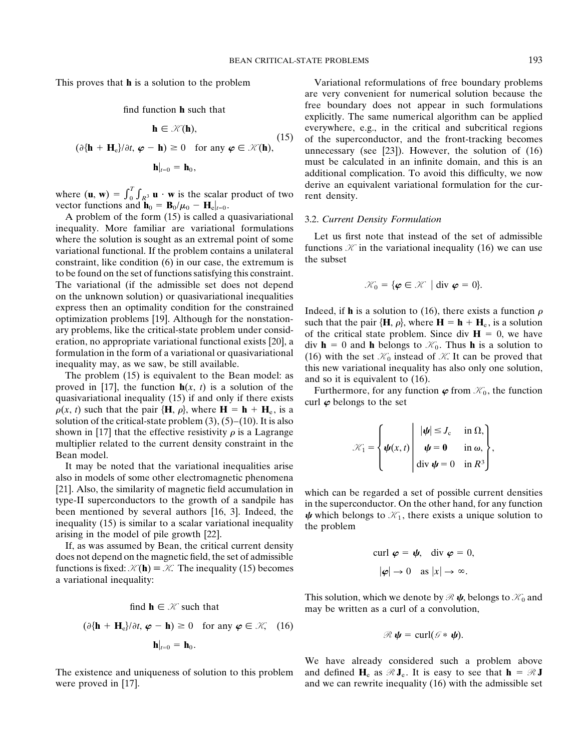$$
\mathbf{h} \in \mathcal{K}(\mathbf{h}),\tag{15}
$$

$$
(\partial {\{\mathbf{h} + \mathbf{H}_{\mathrm{e}}\}}/\partial t, \, \boldsymbol{\varphi} - \mathbf{h}) \ge 0 \quad \text{for any } \boldsymbol{\varphi} \in \mathcal{K}(\mathbf{h}),
$$

$$
\mathbf{h}|_{t=0} = \mathbf{h}_0,
$$

where  $(\mathbf{u}, \mathbf{w}) = \int_0^T \int_{R^3} \mathbf{u} \cdot \mathbf{w}$  is the scalar product of two rent density. vector functions and  $\mathbf{h}_0 = \mathbf{B}_0/\mu_0 - \mathbf{H}_e|_{t=0}$ .

A problem of the form (15) is called a quasivariational 3.2. *Current Density Formulation*<br>inequality. More familiar are variational formulations<br>where the solution is sought as an extremal point of some Let us first note where the solution is sought as an extremal point of some<br>vertex in the variational inequality (16) we can use<br>variational functional If the problem contains a unilateral functions  $\mathcal K$  in the variational inequality (16 variational functional. If the problem contains a unilateral tunctions constraint, like condition (6) in our case, the extremum is the subset to be found on the set of functions satisfying this constraint. The variational (if the admissible set does not depend on the unknown solution) or quasivariational inequalities express then an optimality condition for the constrained<br>optimization problems [19]. Although for the nonstation-<br>ary problems, like the critical-state problem under consid-<br>or the critical state problem. Since  $\mathbf{H} = \math$ 

 $\rho(x, t)$  such that the pair  $\{H, \rho\}$ , where  $H = h + H_e$ , is a solution of the critical-state problem  $(3)$ ,  $(5)$ – $(10)$ . It is also shown in [17] that the effective resistivity  $\rho$  is a Lagrange multiplier related to the current density constraint in the <br>Bean model.<br>It may be noted that the variational inequalities arise<br> $K_1 = \begin{cases} \psi(x, t) & \psi = 0 & \text{in } \infty, \\ \text{div } \psi = 0 & \text{in } \mathbb{R}^3 \end{cases}$ 

It may be noted that the variational inequalities arise also in models of some other electromagnetic phenomena [21]. Also, the similarity of magnetic field accumulation in<br>type-II superconductors to the growth of a sandpile has<br>been mentioned by several authors [16, 3]. Indeed, the<br>inequality (15) is similar to a scalar variationa

If, as was assumed by Bean, the critical current density does not depend on the magnetic field, the set of admissible functions is fixed:  $K(h) = K$ . The inequality (15) becomes a variational inequality:

find 
$$
\mathbf{h} \in \mathcal{K}
$$
 such that  
\n $(\partial {\{\mathbf{h} + \mathbf{H}_e\}}/\partial t, \varphi - \mathbf{h}) \ge 0$  for any  $\varphi \in \mathcal{K}$ , (16)  
\n $\mathbf{h}|_{t=0} = \mathbf{h}_0$ .

were proved in [17]. and we can rewrite inequality (16) with the admissible set

This proves that **h** is a solution to the problem Variational reformulations of free boundary problems are very convenient for numerical solution because the free boundary does not appear in such formulations find function **<sup>h</sup>** such that explicitly. The same numerical algorithm can be applied everywhere, e.g., in the critical and subcritical regions (15) of the superconductor, and the front-tracking becomes unnecessary (see [23]). However, the solution of  $(16)$ must be calculated in an infinite domain, and this is an additional complication. To avoid this difficulty, we now derive an equivalent variational formulation for the cur-

$$
\mathcal{K}_0 = \{ \boldsymbol{\varphi} \in \mathcal{K} \mid \text{div } \boldsymbol{\varphi} = 0 \}.
$$

formulation in the form of a variational or quasivariational<br>inequality may, as we saw, be still available.<br>The problem (15) is equivalent to the Bean model: as<br>proved in [17], the function  $h(x, t)$  is a solution of the<br>qu

$$
\mathcal{K}_1 = \left\{ \boldsymbol{\psi}(x,t) \middle| \begin{array}{l} |\boldsymbol{\psi}| \leq J_{\rm c} & \text{in } \Omega, \\ \boldsymbol{\psi} = \mathbf{0} & \text{in } \omega, \\ \text{div } \boldsymbol{\psi} = 0 & \text{in } R^3 \end{array} \right\},
$$

$$
\operatorname{curl} \boldsymbol{\varphi} = \boldsymbol{\psi}, \quad \operatorname{div} \boldsymbol{\varphi} = 0,
$$

$$
|\boldsymbol{\varphi}| \to 0 \quad \text{as } |x| \to \infty.
$$

This solution, which we denote by  $\mathcal{R} \psi$ , belongs to  $\mathcal{K}_0$  and may be written as a curl of a convolution,

$$
\mathscr{R}\,\boldsymbol{\psi}=\operatorname{curl}(\mathscr{G}\ast\,\boldsymbol{\psi}).
$$

We have already considered such a problem above The existence and uniqueness of solution to this problem and defined  $H_e$  as  $\mathcal{R}J_e$ . It is easy to see that  $\mathbf{h} = \mathcal{R}J$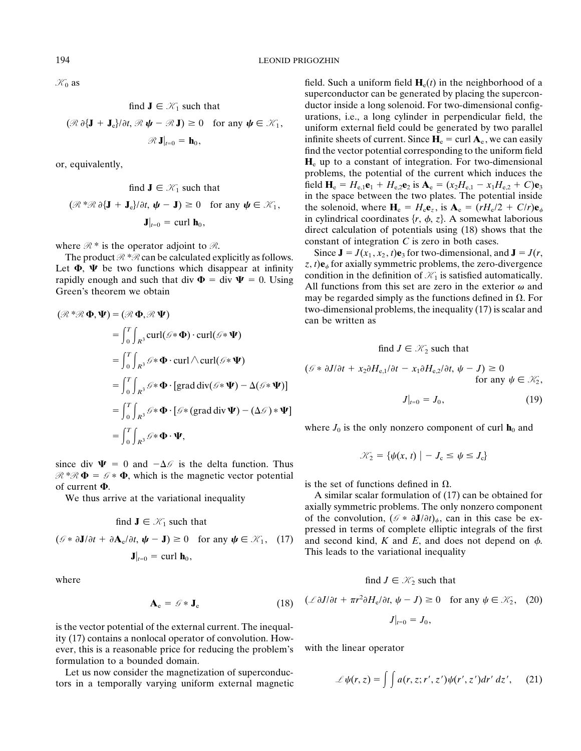$$
\text{and } \mathbf{J} \in \mathcal{K}_1 \text{ such that}
$$
\n
$$
\mathbb{R} \partial \{ \mathbf{J} + \mathbf{J}_e \} / \partial t, \mathcal{R} \psi - \mathcal{R} \mathbf{J} \} \ge 0 \quad \text{for any } \psi \in \mathcal{K}_1
$$
\n
$$
\mathcal{R} \mathbf{J}|_{t=0} = \mathbf{h}_0,
$$

$$
\text{find } \mathbf{J} \in \mathcal{M}_1 \text{ such that}
$$
\n
$$
(\mathcal{R}^* \mathcal{R} \partial \{ \mathbf{J} + \mathbf{J}_e \} / \partial t, \mathbf{\psi} - \mathbf{J}) \ge 0 \quad \text{for any } \mathbf{\psi} \in \mathcal{K}_1,
$$
\n
$$
\mathbf{J}|_{t=0} = \text{curl } \mathbf{h}_0,
$$

$$
(\mathcal{R} * \mathcal{R} \Phi, \Psi) = (\mathcal{R} \Phi, \mathcal{R} \Psi)
$$
\n
$$
= \int_0^T \int_{R^3} \text{curl}(\mathcal{G} * \Phi) \cdot \text{curl}(\mathcal{G} * \Psi)
$$
\n
$$
= \int_0^T \int_{R^3} \mathcal{G} * \Phi \cdot \text{curl} \wedge \text{curl}(\mathcal{G} * \Psi)
$$
\n
$$
= \int_0^T \int_{R^3} \mathcal{G} * \Phi \cdot \text{grad } \text{div}(\mathcal{G} * \Psi)
$$
\n
$$
= \int_0^T \int_{R^3} \mathcal{G} * \Phi \cdot [\text{grad } \text{div}(\mathcal{G} * \Psi) - \Delta(\mathcal{G} * \Psi)]
$$
\n
$$
= \int_0^T \int_{R^3} \mathcal{G} * \Phi \cdot [\mathcal{G} * (\text{grad } \text{div} \Psi) - (\Delta \mathcal{G}) * \Psi]
$$
\n
$$
= \int_0^T \int_{R^3} \mathcal{G} * \Phi \cdot [\mathcal{G} * (\text{grad } \text{div} \Psi) - (\Delta \mathcal{G}) * \Psi]
$$
\nwhere  $J_0$  is the only nonzero component of curl  $\mathbf{h}_0$  and

since div  $\Psi = 0$  and  $-\Delta\mathscr{G}$  is the delta function. Thus  $\mathcal{R}^* \mathcal{R} \Phi = \mathcal{G} * \Phi$ , which is the magnetic vector potential is the set of functions defined in  $\Omega$ .

find 
$$
\mathbf{J} \in \mathcal{K}_1
$$
 such that  
\n
$$
\mathscr{F} * \partial \mathbf{J}/\partial t + \partial \mathbf{A}_e / \partial t, \mathbf{\psi} - \mathbf{J} \ge 0 \text{ for any } \mathbf{\psi} \in \mathcal{K}_1, (17)
$$
\n
$$
\mathbf{J}|_{t=0} = \text{curl } \mathbf{h}_0,
$$

$$
\mathbf{A}_{\mathbf{e}} = \mathcal{G} * \mathbf{J}_{\mathbf{e}} \tag{18}
$$

*is the vector potential of the external current. The inequal*ity (17) contains a nonlocal operator of convolution. However, this is a reasonable price for reducing the problem's with the linear operator formulation to a bounded domain.

Let us now consider the magnetization of superconductors in a temporally varying uniform external magnetic

 $\mathcal{K}_0$  as **field.** Such a uniform field **H**<sub>e</sub>(*t*) in the neighborhood of a superconductor can be generated by placing the superconfind  $J \in \mathcal{K}_1$  such that ductor inside a long solenoid. For two-dimensional config-<br>urations, i.e., a long cylinder in perpendicular field, the  $(\mathbb{R} \partial {\bf J} + {\bf J}_e)/\partial t, \mathbb{R} \psi - \mathbb{R} {\bf J}) \ge 0$  for any  $\psi \in \mathcal{K}_1$ , uniform external field could be generated by two parallel infinite sheets of current. Since  $H_e = \text{curl } A_e$ , we can easily find the vector potential corresponding to the uniform field or, equivalently, **H**<sub>e</sub> up to a constant of integration. For two-dimensional problems, the potential of the current which induces the find  $J \in \mathcal{K}_1$  such that field  $H_e = H_{e,1}e_1 + H_{e,2}e_2$  is  $A_e = (x_2H_{e,1} - x_1H_{e,2} + C)e_3$ <br>in the space between the two plates. The potential inside the solenoid, where  $\mathbf{H}_e = H_e \mathbf{e}_z$ , is  $\mathbf{A}_e = (rH_e/2 + C/r)\mathbf{e}_{\phi}$ <br>in cylindrical coordinates  $\{r, \phi, z\}$ . A somewhat laborious direct calculation of potentials using (18) shows that the

where  $\mathcal{R}^*$  is the operator adjoint to  $\mathcal{R}$ .<br>
The product  $\mathcal{R}^* \mathcal{R}$  can be calculated explicitly as follows.<br>
Let  $\Phi$  if the two functions which disconser at infinity  $z, t$ ) $\mathbf{e}_\phi$  for axially symmetri Let  $\Phi$ ,  $\Psi$  be two functions which disappear at infinity<br>rapidly enough and such that div  $\Phi = \text{div } \Psi = 0$ . Using<br>Green's theorem we obtain<br>Green's theorem we obtain<br> $\Phi = \text{div } \Psi = 0$ . Using<br>all functions from this set ar two-dimensional problems, the inequality (17) is scalar and can be written as

find 
$$
J \in \mathcal{K}_2
$$
 such that

$$
(\mathcal{G} * \partial J/\partial t + x_2 \partial H_{e,1}/\partial t - x_1 \partial H_{e,2}/\partial t, \psi - J) \ge 0
$$
  
for any  $\psi \in \mathcal{K}_2$ ,

$$
J|_{t=0} = J_0, \t\t(19)
$$

where  $J_0$  is the only nonzero component of curl  $\mathbf{h}_0$  and

$$
\mathcal{K}_2 = \{ \psi(x, t) \mid -J_c \leq \psi \leq J_c \}
$$

We thus arrive at the variational inequality A similar scalar formulation of (17) can be obtained for axially symmetric problems. The only nonzero component of the convolution,  $(\mathcal{G} * \partial \mathbf{J}/\partial t)_{\phi}$ , can in this case be expressed in terms of complete elliptic integrals of the first  $(\mathscr{G} * \partial \mathbf{J}/\partial t + \partial \mathbf{A}_{e}/\partial t, \psi - \mathbf{J}) \ge 0$  for any  $\psi \in \mathcal{K}_1$ , (17) and second kind, *K* and *E*, and does not depend on  $\phi$ . This leads to the variational inequality

where 
$$
f \in \mathcal{K}_2
$$
 such that

$$
\mathbf{A}_{\mathbf{e}} = \mathcal{G} * \mathbf{J}_{\mathbf{e}} \qquad (18) \quad (\mathcal{L} \partial J/\partial t + \pi r^2 \partial H_{\mathbf{e}}/\partial t, \psi - J) \ge 0 \quad \text{for any } \psi \in \mathcal{K}_2, \tag{20}
$$

$$
\left.J\right|_{t=0} = J_0
$$

$$
\mathcal{L}\psi(r,z)=\int\int a(r,z;r',z')\psi(r',z')dr'\,dz',\qquad(21)
$$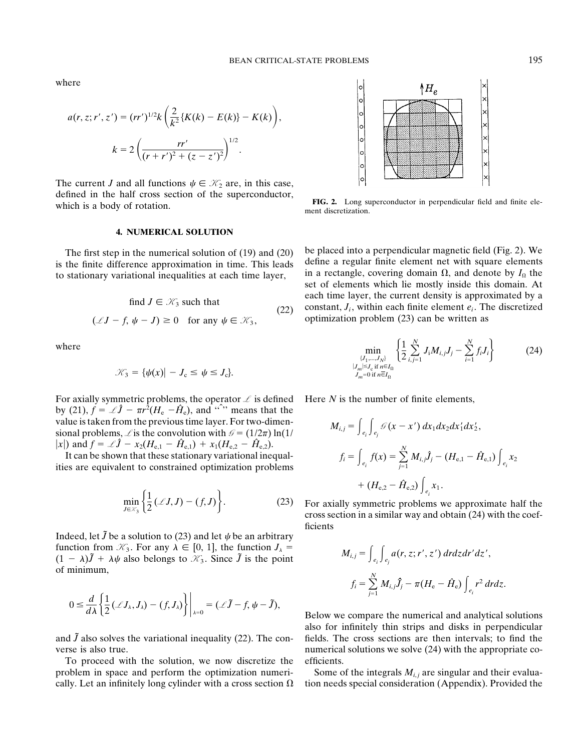where

$$
a(r, z; r', z') = (rr')^{1/2} k \left( \frac{2}{k^2} \{ K(k) - E(k) \} - K(k) \right),
$$
  

$$
k = 2 \left( \frac{rr'}{(r+r')^2 + (z-z')^2} \right)^{1/2}.
$$

The current *J* and all functions  $\psi \in \mathcal{K}_2$  are, in this case, defined in the half cross section of the superconductor,<br>which is a body of rotation.<br>ment discretization.

### **4. NUMERICAL SOLUTION**

find 
$$
J \in \mathcal{K}_3
$$
 such that  
\n( $\mathcal{L}J - f$ ,  $\psi - J$ ) ≥ 0 for any  $\psi \in \mathcal{K}_3$ , (22)  
\n $(\mathcal{L}J - f, \psi - J) \ge 0$  for any  $\psi \in \mathcal{K}_3$ ,  
\n(23) can be written as

$$
\mathcal{K}_3 = {\psi(x) | - J_c \leq \psi \leq J_c}.
$$

For axially symmetric problems, the operator  $\mathcal L$  is defined Here *N* is the number of finite elements, by (21),  $f = \mathcal{L}\hat{J} - \pi r^2 (H_e - \hat{H}_e)$ , and  $\hat{f}$  means that the value is taken from the previous time layer. For two-dimensional problems,  $\angle$  is the convolution with  $\mathcal{G} = (1/2\pi) \ln(1/2\pi)$  $|x|$ ) and  $f = \mathcal{L}\hat{J} - x_2(H_{e,1} - \hat{H}_{e,1}) + x_1(H_{e,2} - \hat{H}_{e,2}).$ 

It can be shown that these stationary variational inequalities are equivalent to constrained optimization problems

$$
\min_{J \in \mathcal{X}_3} \left\{ \frac{1}{2} \left( \mathcal{L}J, J \right) - \left( f, J \right) \right\}. \tag{23}
$$

Indeed, let  $\tilde{J}$  be a solution to (23) and let  $\psi$  be an arbitrary function from  $\mathcal{K}_3$ . For any  $\lambda \in [0, 1]$ , the function  $J_\lambda =$  $(1 - \lambda)\tilde{J} + \lambda\psi$  also belongs to  $\mathcal{K}_3$ . Since  $\tilde{J}$  is the point of minimum,

$$
0 \leq \frac{d}{d\lambda} \left\{ \frac{1}{2} (\mathcal{L}J_{\lambda}, J_{\lambda}) - (f, J_{\lambda}) \right\} \bigg|_{\lambda=0} = (\mathcal{L}\tilde{J} - f, \psi - \tilde{J}),
$$

To proceed with the solution, we now discretize the efficients. problem in space and perform the optimization numeri-<br>Some of the integrals  $M_{i,j}$  are singular and their evaluacally. Let an infinitely long cylinder with a cross section  $\Omega$  tion needs special consideration (Appendix). Provided the



The first step in the numerical solution of  $(19)$  and  $(20)$  be placed into a perpendicular magnetic field (Fig. 2). We the finite difference approximation in time. This leads define a regular finite element net with squ is the finite difference approximation in time. This leads<br>to stationary variational inequalities at each time layer,<br>in a rectangle, covering domain  $\Omega$ , and denote by  $I_{\Omega}$  the<br>set of elements which lie mostly inside each time layer, the current density is approximated by a constant,  $J_i$ , within each finite element  $e_i$ . The discretized

where  
\n
$$
\min_{\{J_1, ..., J_N\}} \left\{ \frac{1}{2} \sum_{i,j=1}^N J_i M_{i,j} J_j - \sum_{i=1}^N f_i J_i \right\}
$$
\n
$$
\mathcal{K}_3 = \{ \psi(x) | -J_c \le \psi \le J_c \}.
$$
\n(24)

$$
M_{i,j} = \int_{e_i} \int_{e_j} \mathcal{G}(x - x') dx_1 dx_2 dx'_1 dx'_2,
$$
  

$$
f_i = \int_{e_i} f(x) = \sum_{j=1}^{N} M_{i,j} \hat{J}_j - (H_{e,1} - \hat{H}_{e,1}) \int_{e_i} x_2
$$
  

$$
+ (H_{e,2} - \hat{H}_{e,2}) \int_{e_i} x_1.
$$

For axially symmetric problems we approximate half the cross section in a similar way and obtain (24) with the coefficients

$$
M_{i,j} = \int_{e_i} \int_{e_j} a(r, z; r', z') dr dz dr' dz',
$$
  

$$
f_i = \sum_{j=1}^N M_{i,j} \hat{J}_j - \pi (H_e - \hat{H}_e) \int_{e_i} r^2 dr dz.
$$

Below we compare the numerical and analytical solutions also for infinitely thin strips and disks in perpendicular and  $\tilde{J}$  also solves the variational inequality (22). The con-<br>fields. The cross sections are then intervals; to find the verse is also true. numerical solutions we solve (24) with the appropriate co-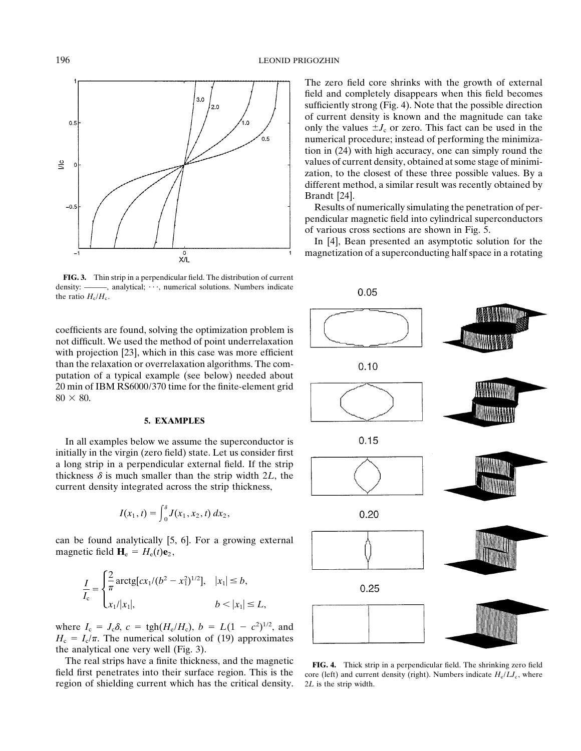

**FIG. 3.** Thin strip in a perpendicular field. The distribution of current density: ———, analytical;  $\cdots$ , numerical solutions. Numbers indicate the ratio  $H_e/H_c$ .

coefficients are found, solving the optimization problem is not difficult. We used the method of point underrelaxation with projection [23], which in this case was more efficient than the relaxation or overrelaxation algorithms. The computation of a typical example (see below) needed about 20 min of IBM RS6000/370 time for the finite-element grid  $80 \times 80$ .

# **5. EXAMPLES**

In all examples below we assume the superconductor is initially in the virgin (zero field) state. Let us consider first a long strip in a perpendicular external field. If the strip thickness  $\delta$  is much smaller than the strip width 2*L*, the current density integrated across the strip thickness,

$$
I(x_1, t) = \int_0^{\delta} J(x_1, x_2, t) dx_2,
$$

can be found analytically [5, 6]. For a growing external magnetic field  $H_e = H_e(t)e_2$ ,

$$
\frac{I}{I_{c}} = \begin{cases} \frac{2}{\pi} \arctg[cx_{1}/(b^{2} - x_{1}^{2})^{1/2}], & |x_{1}| \leq b, \\ x_{1}/|x_{1}|, & b < |x_{1}| \leq L, \end{cases}
$$

where  $I_c = J_c \delta$ ,  $c = \text{tgh}(H_e/H_c)$ ,  $b = L(1 - c^2)^{1/2}$ , and  $H_c = I_c/\pi$ . The numerical solution of (19) approximates the analytical one very well (Fig. 3).

The real strips have a finite thickness, and the magnetic **FIG. 4.** Thick strip in a perpendicular field. The shrinking zero field region of shielding current which has the critical density. 2*L* is the strip width.

The zero field core shrinks with the growth of external field and completely disappears when this field becomes sufficiently strong (Fig. 4). Note that the possible direction of current density is known and the magnitude can take only the values  $\pm J_c$  or zero. This fact can be used in the numerical procedure; instead of performing the minimization in (24) with high accuracy, one can simply round the values of current density, obtained at some stage of minimization, to the closest of these three possible values. By a different method, a similar result was recently obtained by Brandt [24].

Results of numerically simulating the penetration of perpendicular magnetic field into cylindrical superconductors of various cross sections are shown in Fig. 5.

In [4], Bean presented an asymptotic solution for the magnetization of a superconducting half space in a rotating



field first penetrates into their surface region. This is the core (left) and current density (right). Numbers indicate  $H_e/LJ_c$ , where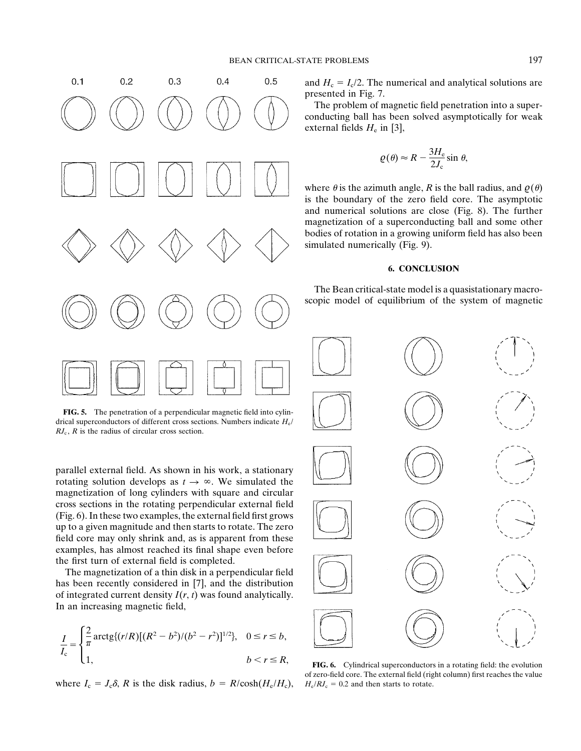

**FIG. 5.** The penetration of a perpendicular magnetic field into cylindrical superconductors of different cross sections. Numbers indicate *H*e/  $RJ_c$ ,  $R$  is the radius of circular cross section.

parallel external field. As shown in his work, a stationary rotating solution develops as  $t \to \infty$ . We simulated the magnetization of long cylinders with square and circular cross sections in the rotating perpendicular external field (Fig. 6). In these two examples, the external field first grows up to a given magnitude and then starts to rotate. The zero field core may only shrink and, as is apparent from these examples, has almost reached its final shape even before the first turn of external field is completed.

The magnetization of a thin disk in a perpendicular field has been recently considered in [7], and the distribution of integrated current density *I*(*r*, *t*) was found analytically. In an increasing magnetic field,

$$
\frac{I}{I_{c}} = \begin{cases} \frac{2}{\pi} \arctg\{(r/R)[(R^{2} - b^{2})/(b^{2} - r^{2})]^{1/2}\}, & 0 \le r \le b, \\ 1, & b < r \le R, \end{cases}
$$

where  $I_c = J_c \delta$ , *R* is the disk radius,  $b = R/\cosh(H_c/H_c)$ ,  $H_c/RJ_c = 0.2$  and then starts to rotate.

The problem of magnetic field penetration into a superconducting ball has been solved asymptotically for weak external fields  $H_e$  in [3],

$$
\varrho(\theta) \approx R - \frac{3H_e}{2J_c} \sin \theta,
$$

where  $\theta$  is the azimuth angle, *R* is the ball radius, and  $\rho(\theta)$ is the boundary of the zero field core. The asymptotic and numerical solutions are close (Fig. 8). The further magnetization of a superconducting ball and some other bodies of rotation in a growing uniform field has also been simulated numerically (Fig. 9).

# **6. CONCLUSION**

The Bean critical-state model is a quasistationary macroscopic model of equilibrium of the system of magnetic



FIG. 6. Cylindrical superconductors in a rotating field: the evolution of zero-field core. The external field (right column) first reaches the value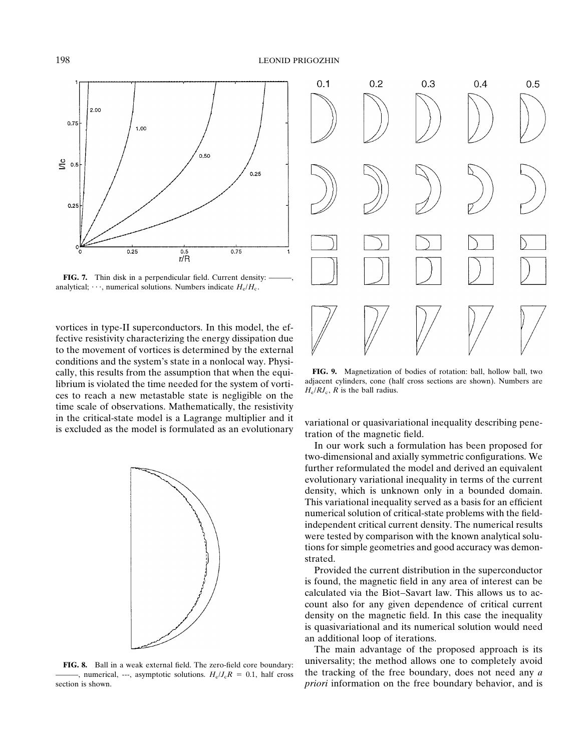

**FIG. 7.** Thin disk in a perpendicular field. Current density: analytical;  $\cdots$ , numerical solutions. Numbers indicate  $H_e/H_c$ .

vortices in type-II superconductors. In this model, the effective resistivity characterizing the energy dissipation due to the movement of vortices is determined by the external conditions and the system's state in a nonlocal way. Physically, this results from the assumption that when the equi-<br> **FIG. 9.** Magnetization of bodies of rotation: ball, hollow ball, two<br>
librium is violated the time needed for the system of yortial diacent cylinders, cone (hal librium is violated the time needed for the system of vorti-<br>ces to reach a new metastable state is negligible on the  $H_e/R_s$ , R is the ball radius. time scale of observations. Mathematically, the resistivity in the critical-state model is a Lagrange multiplier and it variational or quasivariational inequality describing pene-<br>is excluded as the model is formulated as an evolutionary tration of the magnetic field.



section is shown. *priori* information on the free boundary behavior, and is



In our work such a formulation has been proposed for two-dimensional and axially symmetric configurations. We further reformulated the model and derived an equivalent evolutionary variational inequality in terms of the current density, which is unknown only in a bounded domain. This variational inequality served as a basis for an efficient numerical solution of critical-state problems with the fieldindependent critical current density. The numerical results were tested by comparison with the known analytical solutions for simple geometries and good accuracy was demonstrated.

Provided the current distribution in the superconductor is found, the magnetic field in any area of interest can be calculated via the Biot–Savart law. This allows us to account also for any given dependence of critical current density on the magnetic field. In this case the inequality is quasivariational and its numerical solution would need an additional loop of iterations.

The main advantage of the proposed approach is its universality; the method allows one to completely avoid **FIG. 8.** Ball in a weak external field. The zero-field core boundary: -, numerical, ---, asymptotic solutions.  $H_e / J_c R = 0.1$ , half cross the tracking of the free boundary, does not need any *a*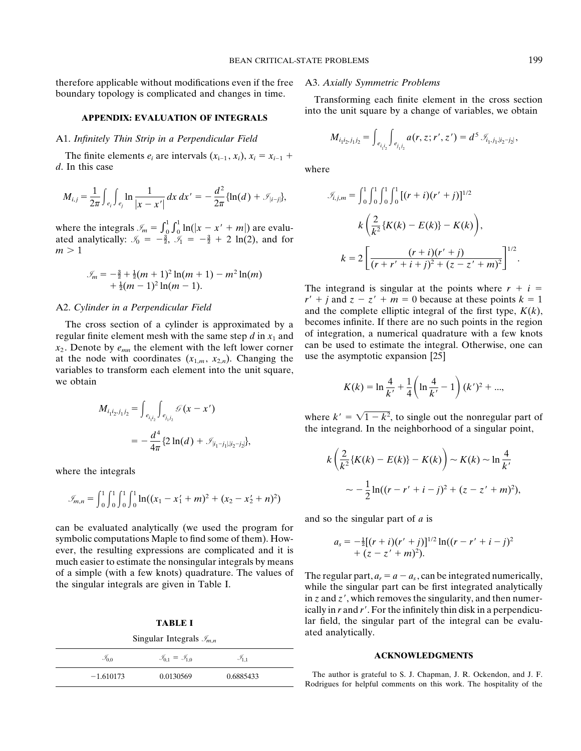therefore applicable without modifications even if the free A3. *Axially Symmetric Problems* boundary topology is complicated and changes in time. Transforming each finite element in the cross section

### A1. *Infinitely Thin Strip in a Perpendicular Field*

The finite elements  $e_i$  are intervals  $(x_{i-1}, x_i)$ ,  $x_i = x_{i-1} +$ *d*. In this case where

$$
M_{i,j} = \frac{1}{2\pi} \int_{e_i} \int_{e_j} \ln \frac{1}{|x - x'|} dx dx' = -\frac{d^2}{2\pi} \{ \ln(d) + \mathcal{I}_{|i-j|} \}, \qquad \mathcal{I}_{i,j,m} = \int_0^1 \int_0^1 \int_0^1 \left[ (r + i)(r' + j) \right]^{1/2}
$$

 $\int_0^1 \int_0^1 \ln(|x - x' + m|)$  are evaluated analytically:  $\mathcal{I}_0 = -\frac{3}{2}, \mathcal{I}_1 = -\frac{3}{2} + 2 \ln(2)$ , and for  $m > 1$ 

$$
\mathcal{J}_m = -\frac{3}{2} + \frac{1}{2}(m+1)^2 \ln(m+1) - m^2 \ln(m) + \frac{1}{2}(m-1)^2 \ln(m-1).
$$

regular finite element mesh with the same step *d* in  $x_1$  and dot integration, a numerical quadrature with a few knots  $x_2$  be element with the left lower corner can be used to estimate the integral. Otherwise, one can  $x_2$ . Denote by  $e_{mn}$  the element with the left lower corner can be used to estimate the integral.<br>
at the node with coordinates  $(x_1, x_2)$ . Changing the use the asymptotic expansion [25] at the node with coordinates  $(x_{1,m}, x_{2,n})$ . Changing the variables to transform each element into the unit square, we obtain  $K(k) = \ln \frac{4}{l}$ 

$$
M_{i_1 i_2, j_1 j_2} = \int_{e_{i_1 i_2}} \int_{e_{j_1 j_2}} \mathcal{G}(x - x')
$$
  
= 
$$
-\frac{d^4}{4\pi} \{2 \ln(d) + \mathcal{I}_{|i_1 - j_1|, |i_2 - j_2|}\},
$$

where the integrals

$$
\mathcal{J}_{m,n} = \int_0^1 \int_0^1 \int_0^1 \ln((x_1 - x_1' + m)^2 + (x_2 - x_2' + n)^2)
$$

can be evaluated analytically (we used the program for symbolic computations Maple to find some of them). However, the resulting expressions are complicated and it is much easier to estimate the nonsingular integrals by means of a simple (with a few knots) quadrature. The values of The regular part,  $a_r = a - a_s$ , can be integrated numerically,<br>the singular integrals are given in Table I.<br>while the singular part can be first integrated analyticall

| $\sum_{m,n}$        |                                         |                     |  |
|---------------------|-----------------------------------------|---------------------|--|
| $\mathcal{I}_{0,0}$ | $\mathcal{I}_{0,1} = \mathcal{I}_{1,0}$ | $\mathcal{I}_{1.1}$ |  |
| $-1.610173$         | 0.0130569                               | 0.6885433           |  |

into the unit square by a change of variables, we obtain **APPENDIX: EVALUATION OF INTEGRALS**

$$
M_{i_1i_2,j_1j_2} = \int_{e_{i_1i_2}} \int_{e_{j_1j_2}} a(r,z;r',z') = d^{5} \mathcal{I}_{i_1,j_1,|i_2-j_2|},
$$

$$
M_{i,j} = \frac{1}{2\pi} \int_{e_i} \int_{e_j} \ln \frac{1}{|x - x'|} dx dx' = -\frac{d^2}{2\pi} \{\ln(d) + \mathcal{I}_{|i-j|}\}, \qquad \mathcal{I}_{i,j,m} = \int_0^1 \int_0^1 \int_0^1 \int_0^1 [(r + i)(r' + j)]^{1/2}
$$
  
\nwhere the integrals  $\mathcal{I}_m = \int_0^1 \int_0^1 \ln(|x - x' + m|)$  are equal-  
\nated analytically:  $\mathcal{I}_0 = -\frac{3}{2}, \mathcal{I}_1 = -\frac{3}{2} + 2 \ln(2)$ , and for  
\n
$$
m > 1
$$
\n
$$
k = 2 \left[ \frac{(r + i)(r' + j)}{(r + r' + i + j)^2 + (z - z' + m)^2} \right]^{1/2}.
$$

The integrand is singular at the points where  $r + i =$  $r' + j$  and  $z - z' + m = 0$  because at these points  $k = 1$ A2. *Cylinder in a Perpendicular Field* and the complete elliptic integral of the first type, *K*(*k*), The cross section of a cylinder is approximated by a becomes infinite. If there are no such points in the region outlar finite element mesh with the same step d in x, and of integration, a numerical quadrature with a few

$$
K(k) = \ln \frac{4}{k'} + \frac{1}{4} \left( \ln \frac{4}{k'} - 1 \right) (k')^{2} + \dots,
$$

 $\mathscr{G}(x - x')$  where  $k' = \sqrt{1 - k^2}$ , to single out the nonregular part of the integrand. In the neighborhood of a singular point,

$$
k\left(\frac{2}{k^2}\left\{K(k) - E(k)\right\} - K(k)\right) \sim K(k) \sim \ln\frac{4}{k'}
$$
  
 
$$
\sim -\frac{1}{2}\ln((r - r' + i - j)^2 + (z - z' + m)^2),
$$

and so the singular part of *a* is

$$
a_s = -\frac{1}{2}[(r+i)(r'+j)]^{1/2}\ln((r-r'+i-j)^2 + (z-z'+m)^2).
$$

in  $z$  and  $z'$ , which removes the singularity, and then numerically in *r* and *r'*. For the infinitely thin disk in a perpendicu-**TABLE I** lar field, the singular part of the integral can be evalu-Singular Integrals *I*<sup>*m*</sup>, *I*<sup>*m*</sup>, *I*<sup>*m*</sup>, *I*<sup>*m*</sup>, *I*<sup>*m*</sup>, *I*<sup>*m*</sup>, *I*<sup>*m*</sup>, *I*<sup>*m*</sup>, *I*<sup>*m*</sup>, *I*<sup>*m*</sup>, *I*<sup>*m*</sup>, *I*<sup>*m*</sup>, *I*<sup>*m*</sup>, *I*<sup>*m*</sup>, *I*<sup>*m*</sup>, *I*<sup>*m*</sup>, *I*<sup>*m*</sup>, *I*<sup>*m*</sup>, *I*<sup>*m*</sup>, *I*<sup>*m*</sup>, *I* 

### $\Lambda$ CKNOWLEDGMENTS

The author is grateful to S. J. Chapman, J. R. Ockendon, and J. F. Rodrigues for helpful comments on this work. The hospitality of the